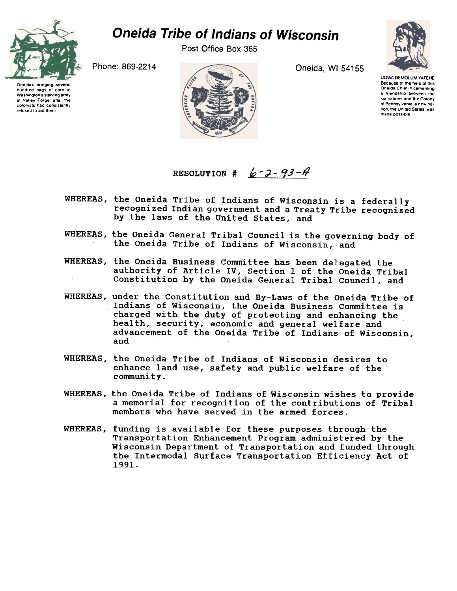

## Oneida Tribe of Indians of Wisconsin

Post Office Box 365





UGWA DEMOLUM YATEHE Because of the help of this Oneida Chief in cementing a Iriendship between the SIX nations and the Colony of Pennsylvania, a new nation, the United States, was made possible

## RESOLUTION  $\sharp$  6-2-93-4

- WHEREAS, the Oneida Tribe of Indians of Wisconsin is a federally recognized Indian government and a Treaty Tribe recognized by the laws of the United States, and
- WHEREAS, the Oneida General Tribal Council is the governing body of the Oneida Tribe of Indians of Wisconsin, and
- WHEREAS, the Oneida Business Committee has been delegated the authority of Article IV, Section 1 of the Oneida Tribal Constitution by the Oneida General Tribal Council, and
- WHEREAS, under the Constitution and By-Laws of the Oneida Tribe of Indians of Wisconsin, the Oneida Business Committee is charged with the duty of protecting and enhancing the health, security, economic and general welfare and advancement of the Oneida Tribe of Indians of Wisconsin, and
- WHEREAS, the Oneida Tribe of Indians of Wisconsin desires to enhance land use, safety and public welfare of the community.
- WHEREAS, the Oneida Tribe of Indians of Wisconsin wishes to provide a memorial for recognition of the contributions of Tribal members who have served in the armed forces.
- WHEREAS, funding is available for these purposes through the Transportation Enhancement Program administered by the Wisconsin Department of Transportation and funded through the Intermodal Surface Transportation Efficiency Act of 1991.